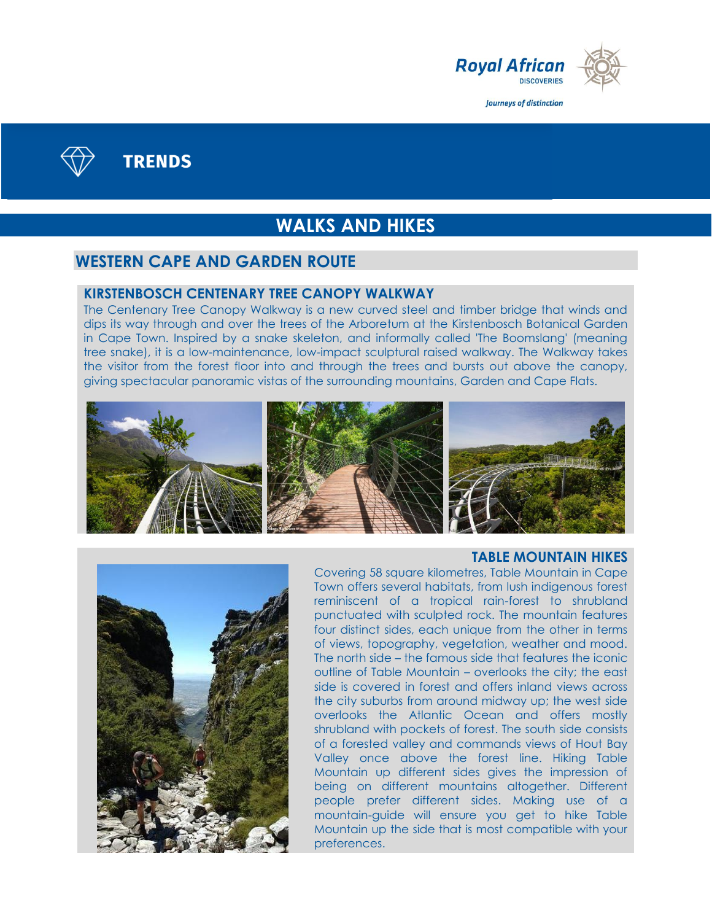



**TRENDS** 

# **WALKS AND HIKES**

### **WESTERN CAPE AND GARDEN ROUTE**

#### **KIRSTENBOSCH CENTENARY TREE CANOPY WALKWAY**

The Centenary Tree Canopy Walkway is a new curved steel and timber bridge that winds and dips its way through and over the trees of the Arboretum at the Kirstenbosch Botanical Garden in Cape Town. Inspired by a snake skeleton, and informally called 'The Boomslang' (meaning tree snake), it is a low-maintenance, low-impact sculptural raised walkway. The Walkway takes the visitor from the forest floor into and through the trees and bursts out above the canopy, giving spectacular panoramic vistas of the surrounding mountains, Garden and Cape Flats.



#### **TABLE MOUNTAIN HIKES**



Covering 58 square kilometres, Table Mountain in Cape Town offers several habitats, from lush indigenous forest reminiscent of a tropical rain-forest to shrubland punctuated with sculpted rock. The mountain features four distinct sides, each unique from the other in terms of views, topography, vegetation, weather and mood. The north side – the famous side that features the iconic outline of Table Mountain – overlooks the city; the east side is covered in forest and offers inland views across the city suburbs from around midway up; the west side overlooks the Atlantic Ocean and offers mostly shrubland with pockets of forest. The south side consists of a forested valley and commands views of Hout Bay Valley once above the forest line. Hiking Table Mountain up different sides gives the impression of being on different mountains altogether. Different people prefer different sides. Making use of a mountain-guide will ensure you get to hike Table Mountain up the side that is most compatible with your preferences.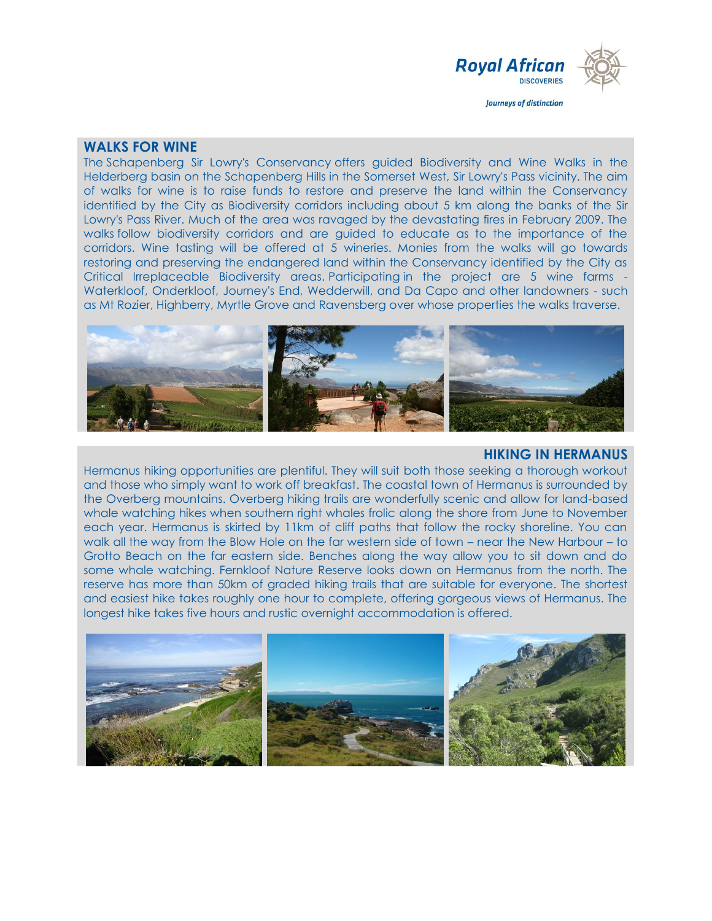

#### **WALKS FOR WINE**

The Schapenberg Sir Lowry's Conservancy offers guided Biodiversity and Wine Walks in the Helderberg basin on the Schapenberg Hills in the Somerset West, Sir Lowry's Pass vicinity. The aim of walks for wine is to raise funds to restore and preserve the land within the Conservancy identified by the City as Biodiversity corridors including about 5 km along the banks of the Sir Lowry's Pass River. Much of the area was ravaged by the devastating fires in February 2009. The walks follow biodiversity corridors and are guided to educate as to the importance of the corridors. Wine tasting will be offered at 5 wineries. Monies from the walks will go towards restoring and preserving the endangered land within the Conservancy identified by the City as Critical Irreplaceable Biodiversity areas. Participating in the project are 5 wine farms - Waterkloof, Onderkloof, Journey's End, Wedderwill, and Da Capo and other landowners - such as Mt Rozier, Highberry, Myrtle Grove and Ravensberg over whose properties the walks traverse.



#### **HIKING IN HERMANUS**

Hermanus hiking opportunities are plentiful. They will suit both those seeking a thorough workout and those who simply want to work off breakfast. The coastal town of Hermanus is surrounded by the Overberg mountains. Overberg hiking trails are wonderfully scenic and allow for land-based whale watching hikes when southern right whales frolic along the shore from June to November each year. Hermanus is skirted by 11km of cliff paths that follow the rocky shoreline. You can walk all the way from the Blow Hole on the far western side of town – near the New Harbour – to Grotto Beach on the far eastern side. Benches along the way allow you to sit down and do some whale watching. Fernkloof Nature Reserve looks down on Hermanus from the north. The reserve has more than 50km of graded hiking trails that are suitable for everyone. The shortest and easiest hike takes roughly one hour to complete, offering gorgeous views of Hermanus. The longest hike takes five hours and rustic overnight accommodation is offered.

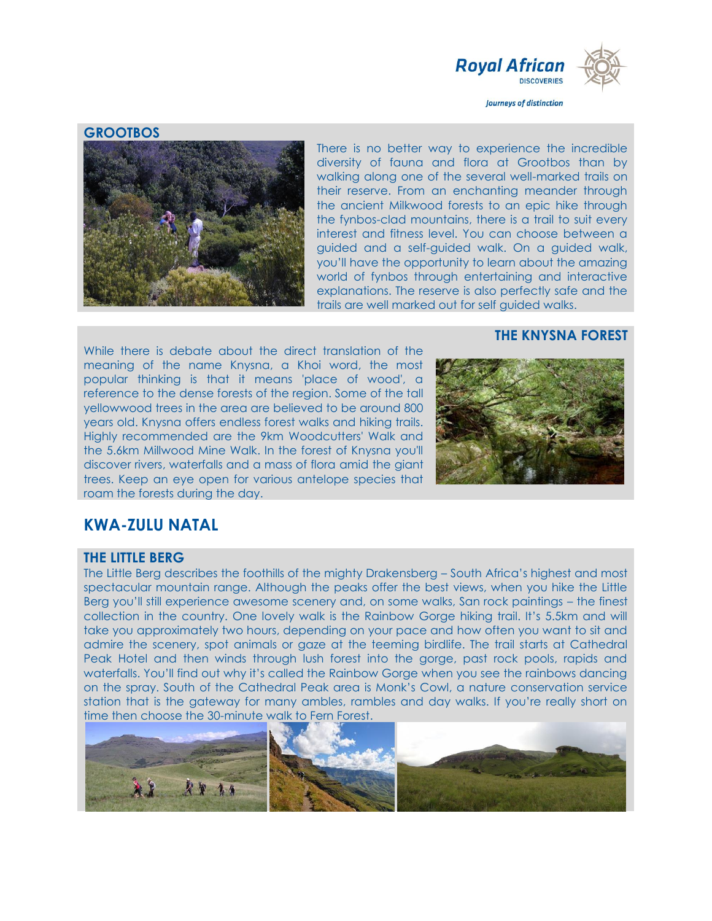

#### **GROOTBOS**



There is no better way to experience the incredible diversity of fauna and flora at Grootbos than by walking along one of the several well-marked trails on their reserve. From an enchanting meander through the ancient Milkwood forests to an epic hike through the fynbos-clad mountains, there is a trail to suit every interest and fitness level. You can choose between a guided and a self-guided walk. On a guided walk, you'll have the opportunity to learn about the amazing world of fynbos through entertaining and interactive explanations. The reserve is also perfectly safe and the trails are well marked out for self guided walks.

#### **THE KNYSNA FOREST**

While there is debate about the direct translation of the meaning of the name Knysna, a Khoi word, the most popular thinking is that it means 'place of wood', a reference to the dense forests of the region. Some of the tall yellowwood trees in the area are believed to be around 800 years old. Knysna offers endless forest walks and hiking trails. Highly recommended are the 9km Woodcutters' Walk and the 5.6km Millwood Mine Walk. In the forest of Knysna you'll discover rivers, waterfalls and a mass of flora amid the giant trees. Keep an eye open for various antelope species that roam the forests during the day.



# **KWA-ZULU NATAL**

#### **THE LITTLE BERG**

The Little Berg describes the foothills of the mighty Drakensberg – South Africa's highest and most spectacular mountain range. Although the peaks offer the best views, when you hike the Little Berg you'll still experience awesome scenery and, on some walks, San rock paintings – the finest collection in the country. One lovely walk is the Rainbow Gorge hiking trail. It's 5.5km and will take you approximately two hours, depending on your pace and how often you want to sit and admire the scenery, spot animals or gaze at the teeming birdlife. The trail starts at Cathedral Peak Hotel and then winds through lush forest into the gorge, past rock pools, rapids and waterfalls. You'll find out why it's called the Rainbow Gorge when you see the rainbows dancing on the spray. South of the Cathedral Peak area is Monk's Cowl, a nature conservation service station that is the gateway for many ambles, rambles and day walks. If you're really short on time then choose the 30-minute walk to Fern Forest.